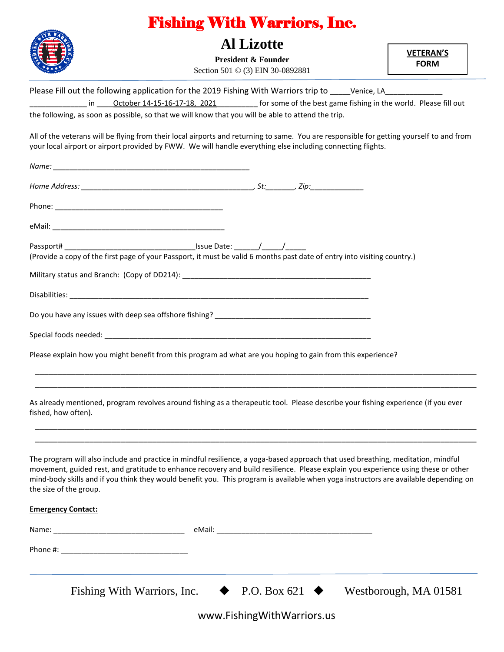

## Fishing With Warriors, Inc.

## **Al Lizotte**

**President & Founder** Section 501 © (3) EIN 30-0892881 **VETERAN'S FORM**

Please Fill out the following application for the 2019 Fishing With Warriors trip to \_\_\_\_\_\_ Venice, LA

in \_\_\_\_\_October 14-15-16-17-18, 2021\_\_\_\_\_\_\_\_\_\_\_\_ for some of the best game fishing in the world. Please fill out the following, as soon as possible, so that we will know that you will be able to attend the trip.

All of the veterans will be flying from their local airports and returning to same. You are responsible for getting yourself to and from your local airport or airport provided by FWW. We will handle everything else including connecting flights.

|                             | (Provide a copy of the first page of your Passport, it must be valid 6 months past date of entry into visiting country.)                                                                                                                                                                                                                                                                                      |                       |
|-----------------------------|---------------------------------------------------------------------------------------------------------------------------------------------------------------------------------------------------------------------------------------------------------------------------------------------------------------------------------------------------------------------------------------------------------------|-----------------------|
|                             |                                                                                                                                                                                                                                                                                                                                                                                                               |                       |
|                             |                                                                                                                                                                                                                                                                                                                                                                                                               |                       |
|                             |                                                                                                                                                                                                                                                                                                                                                                                                               |                       |
|                             |                                                                                                                                                                                                                                                                                                                                                                                                               |                       |
|                             | Please explain how you might benefit from this program ad what are you hoping to gain from this experience?                                                                                                                                                                                                                                                                                                   |                       |
|                             |                                                                                                                                                                                                                                                                                                                                                                                                               |                       |
| fished, how often).         | As already mentioned, program revolves around fishing as a therapeutic tool. Please describe your fishing experience (if you ever                                                                                                                                                                                                                                                                             |                       |
|                             |                                                                                                                                                                                                                                                                                                                                                                                                               |                       |
| the size of the group.      | The program will also include and practice in mindful resilience, a yoga-based approach that used breathing, meditation, mindful<br>movement, guided rest, and gratitude to enhance recovery and build resilience. Please explain you experience using these or other<br>mind-body skills and if you think they would benefit you. This program is available when yoga instructors are available depending on |                       |
| <b>Emergency Contact:</b>   |                                                                                                                                                                                                                                                                                                                                                                                                               |                       |
| Name:                       | eMail: _                                                                                                                                                                                                                                                                                                                                                                                                      |                       |
|                             |                                                                                                                                                                                                                                                                                                                                                                                                               |                       |
| Fishing With Warriors, Inc. | P.O. Box 621                                                                                                                                                                                                                                                                                                                                                                                                  | Westborough, MA 01581 |

www.FishingWithWarriors.us